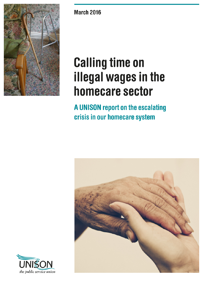

**March 2016** 

# **Calling time on** illegal wages in the homecare sector

A UNISON report on the escalating crisis in our homecare system



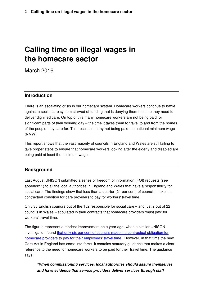# **Calling time on illegal wages in the homecare sector**

March 2016

# **Introduction**

There is an escalating crisis in our homecare system. Homecare workers continue to battle against a social care system starved of funding that is denying them the time they need to deliver dignified care. On top of this many homecare workers are not being paid for significant parts of their working day – the time it takes them to travel to and from the homes of the people they care for. This results in many not being paid the national minimum wage (NMW).

This report shows that the vast majority of councils in England and Wales are still failing to take proper steps to ensure that homecare workers looking after the elderly and disabled are being paid at least the minimum wage.

# **Background**

Last August UNISON submitted a series of freedom of information (FOI) requests (see appendix 1) to all the local authorities in England and Wales that have a responsibility for social care. The findings show that less than a quarter (21 per cent) of councils make it a contractual condition for care providers to pay for workers' travel time.

Only 36 English councils out of the 152 responsible for social care – and just 2 out of 22 councils in Wales – stipulated in their contracts that homecare providers 'must pay' for workers' travel time.

The figures represent a modest improvement on a year ago, when a similar UNISON investigation found [that only six per cent of councils made it a contractual obligation for](https://www.unison.org.uk/news/article/2014/10/unison-urges-illegal-wage-crackdown-in-homecare-sector/) [homecare providers to pay for their employees' travel time](https://www.unison.org.uk/news/article/2014/10/unison-urges-illegal-wage-crackdown-in-homecare-sector/). However, in that time the new Care Act in England has come into force. It contains statutory guidance that makes a clear reference to the need for homecare workers to be paid for their travel time. The guidance says:

*"When commissioning services, local authorities should assure themselves and have evidence that service providers deliver services through staff*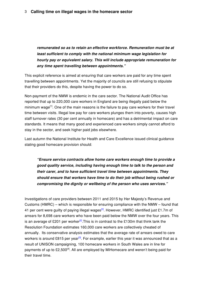*remunerated so as to retain an effective workforce. Remuneration must be at least sufficient to comply with the national minimum wage legislation for hourly pay or equivalent salary. This will include appropriate remuneration for any time spent travelling between appointments."*

This explicit reference is aimed at ensuring that care workers are paid for any time spent travelling between appointments. Yet the majority of councils are still refusing to stipulate that their providers do this, despite having the power to do so.

Non-payment of the NMW is endemic in the care sector. The National Audit Office has reported that up to 220,000 care workers in England are being illegally paid below the minimum wage<sup>[1]</sup>. One of the main reasons is the failure to pay care workers for their travel time between visits. Illegal low pay for care workers plunges them into poverty, causes high staff turnover rates (30 per cent annually in homecare) and has a detrimental impact on care standards. It means that many good and experienced care workers simply cannot afford to stay in the sector, and seek higher paid jobs elsewhere.

Last autumn the National Institute for Health and Care Excellence issued clinical guidance stating good homecare provision should:

*"Ensure service contracts allow home care workers enough time to provide a good quality service, including having enough time to talk to the person and their carer, and to have sufficient travel time between appointments. They should ensure that workers have time to do their job without being rushed or compromising the dignity or wellbeing of the person who uses services."*

Investigations of care providers between 2011 and 2015 by Her Majesty's Revenue and Customs (HMRC) – which is responsible for ensuring compliance with the NMW – found that 41 per cent were guilty of paying illegal wages<sup>[2]</sup>. However, HMRC identified just £1.7m of arrears for 8,698 care workers who have been paid below the NMW over the four years. This is an average of £201 per worker<sup>[2]</sup>. This is in contrast to the £130m that think tank the Resolution Foundation estimates 160,000 care workers are collectively cheated of annually. Its conservative analysis estimates that the average rate of arrears owed to care workers is around £815 per year<sup>[3]</sup>. For example, earlier this year it was announced that as a result of UNISON campaigning, 100 homecare workers in South Wales are in line for payments of up to £2,500<sup>[4]</sup>. All are employed by MiHomecare and weren't being paid for their travel time.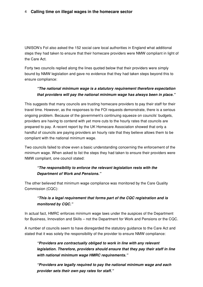#### 4 **Calling time on illegal wages in the homecare sector**

UNISON's FoI also asked the 152 social care local authorities in England what additional steps they had taken to ensure that their homecare providers were NMW compliant in light of the Care Act.

Forty two councils replied along the lines quoted below that their providers were simply bound by NMW legislation and gave no evidence that they had taken steps beyond this to ensure compliance:

# *"The national minimum wage is a statutory requirement therefore expectation that providers will pay the national minimum wage has always been in place."*

This suggests that many councils are trusting homecare providers to pay their staff for their travel time. However, as the responses to the FOI requests demonstrate, there is a serious ongoing problem. Because of the government's continuing squeeze on councils' budgets, providers are having to contend with yet more cuts to the hourly rates that councils are prepared to pay. A recent report by the UK Homecare Association showed that only a handful of councils are paying providers an hourly rate that they believe allows them to be compliant with the national minimum wage.

Two councils failed to show even a basic understanding concerning the enforcement of the minimum wage. When asked to list the steps they had taken to ensure their providers were NMW compliant, one council stated:

## *"The responsibility to enforce the relevant legislation rests with the Department of Work and Pensions."*

The other believed that minimum wage compliance was monitored by the Care Quality Commission (CQC):

## *"This is a legal requirement that forms part of the CQC registration and is monitored by CQC."*

In actual fact, HMRC enforces minimum wage laws under the auspices of the Department for Business, Innovation and Skills – not the Department for Work and Pensions or the CQC.

A number of councils seem to have disregarded the statutory guidance to the Care Act and stated that it was solely the responsibility of the provider to ensure NMW compliance:

*"Providers are contractually obliged to work in line with any relevant legislation. Therefore, providers should ensure that they pay their staff in line with national minimum wage HMRC requirements."* 

*"Providers are legally required to pay the national minimum wage and each provider sets their own pay rates for staff."*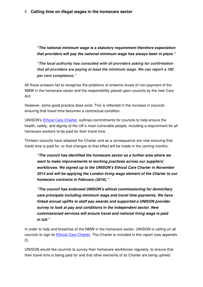*"The national minimum wage is a statutory requirement therefore expectation that providers will pay the national minimum wage has always been in place."*

*"The local authority has consulted with all providers asking for confirmation that all providers are paying at least the minimum wage. We can report a 100 per cent compliance."*

All these answers fail to recognise the problems of endemic levels of non-payment of the NMW in the homecare sector and the responsibility placed upon councils by the new Care Act.

However, some good practice does exist. This is reflected in the increase in councils ensuring that travel time becomes a contractual condition.

UNISON's [Ethical Care Charter](http://www.savecarenow.org.uk/ethical-care-charter), outlines commitments for councils to help ensure the health, safety, and dignity of the UK's most vulnerable people, including a requirement for all homecare workers to be paid for their travel time.

Thirteen councils have adopted the Charter and as a consequence are now ensuring that travel time is paid for, or that changes to that effect will be made in the coming months:

*"The council has identified the homecare sector as a further area where we want to make improvements to working practices across our suppliers' workforces. We signed up to the UNISON's Ethical Care Charter in November 2014 and will be applying the London living wage element of the Charter to our homecare contracts in February (2016)."*

*"The council has endorsed UNISON's ethical commissioning for domiciliary care principals including minimum wage and travel time payments. We have linked annual uplifts to staff pay awards and supported a UNISON provider survey to look at pay and conditions in the independent sector. New commissioned services will ensure travel and national living wage is paid in full."*

In order to help end breaches of the NMW in the homecare sector, UNISON is calling on all councils to sign its **[Ethical Care Charter](http://www.savecarenow.org.uk/ethical-care-charter)**. The Charter is included in this report (see appendix 2).

UNISON would like councils to survey their homecare workforces regularly, to ensure that their travel time is being paid for and that other elements of its Charter are being upheld.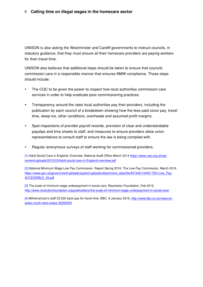#### 6 **Calling time on illegal wages in the homecare sector**

UNISON is also asking the Westminster and Cardiff governments to instruct councils, in statutory guidance, that they must ensure all their homecare providers are paying workers for their travel time.

UNISON also believes that additional steps should be taken to ensure that councils commission care in a responsible manner that ensures NMW compliance. These steps should include:

- The CQC to be given the power to inspect how local authorities commission care services in order to help eradicate poor commissioning practices.
- Transparency around the rates local authorities pay their providers, including the publication by each council of a breakdown showing how the fees paid cover pay, travel time, sleep-ins, other conditions, overheads and assumed profit margins.
- Spot inspections of provider payroll records, provision of clear and understandable payslips and time sheets to staff, and measures to ensure providers allow union representatives to consult staff to ensure the law is being complied with.
- Regular anonymous surveys of staff working for commissioned providers.

[1] Adult Social Care in England: Overview, National Audit Office March 2014 [https://www.nao.org.uk/wp](https://www.nao.org.uk/wp-content/uploads/2015/03/Adult-social-care-in-England-overview.pdf)[content/uploads/2015/03/Adult-social-care-in-England-overview.pdf](https://www.nao.org.uk/wp-content/uploads/2015/03/Adult-social-care-in-England-overview.pdf)

[2] National Minimum Wage Low Pay Commission Report Spring 2016, The Low Pay Commission, March 2016 [https://www.gov.uk/government/uploads/system/uploads/attachment\\_data/file/507455/10493-TSO-Low\\_Pay-](https://www.gov.uk/government/uploads/system/uploads/attachment_data/file/507455/10493-TSO-Low_Pay-ACCESSIBLE_05.pdf)[ACCESSIBLE\\_05.pdf](https://www.gov.uk/government/uploads/system/uploads/attachment_data/file/507455/10493-TSO-Low_Pay-ACCESSIBLE_05.pdf)

[3] The scale of minimum wage underpayment in social care, Resolution Foundation, Feb 2015, <http://www.resolutionfoundation.org/publications/the-scale-of-minimum-wage-underpayment-in-social-care/>

[4] MiHomeCare's staff £2,500 back pay for travel time, BBC, 8 January 2016, [http://www.bbc.co.uk/news/uk](http://www.bbc.co.uk/news/uk-wales-south-west-wales-35260953)[wales-south-west-wales-35260953](http://www.bbc.co.uk/news/uk-wales-south-west-wales-35260953)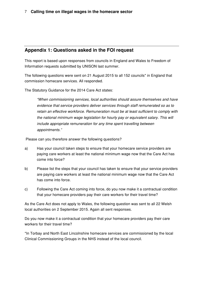# **Appendix 1: Questions asked in the FOI request**

This report is based upon responses from councils in England and Wales to Freedom of Information requests submitted by UNISON last summer.

The following questions were sent on 21 August 2015 to all 152 councils\* in England that commission homecare services. All responded.

The Statutory Guidance for the 2014 Care Act states:

*"When commissioning services, local authorities should assure themselves and have evidence that service providers deliver services through staff remunerated so as to retain an effective workforce. Remuneration must be at least sufficient to comply with the national minimum wage legislation for hourly pay or equivalent salary. This will include appropriate remuneration for any time spent travelling between appointments."*

Please can you therefore answer the following questions?

- a) Has your council taken steps to ensure that your homecare service providers are paying care workers at least the national minimum wage now that the Care Act has come into force?
- b) Please list the steps that your council has taken to ensure that your service providers are paying care workers at least the national minimum wage now that the Care Act has come into force.
- c) Following the Care Act coming into force, do you now make it a contractual condition that your homecare providers pay their care workers for their travel time?

As the Care Act does not apply to Wales, the following question was sent to all 22 Welsh local authorities on 2 September 2015. Again all sent responses.

Do you now make it a contractual condition that your homecare providers pay their care workers for their travel time?

\*In Torbay and North East Lincolnshire homecare services are commissioned by the local Clinical Commissioning Groups in the NHS instead of the local council.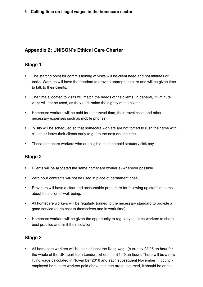# **Appendix 2: UNISON's Ethical Care Charter**

# **Stage 1**

- The starting point for commissioning of visits will be client need and not minutes or tasks. Workers will have the freedom to provide appropriate care and will be given time to talk to their clients.
- The time allocated to visits will match the needs of the clients. In general, 15-minute visits will not be used, as they undermine the dignity of the clients.
- Homecare workers will be paid for their travel time, their travel costs and other necessary expenses such as mobile phones.
- Visits will be scheduled so that homecare workers are not forced to rush their time with clients or leave their clients early to get to the next one on time.
- Those homecare workers who are eligible must be paid statutory sick pay.

# **Stage 2**

- Clients will be allocated the same homecare worker(s) wherever possible.
- Zero hour contracts will not be used in place of permanent ones.
- Providers will have a clear and accountable procedure for following up staff concerns about their clients' well-being.
- All homecare workers will be regularly trained to the necessary standard to provide a good service (at no cost to themselves and in work time).
- Homecare workers will be given the opportunity to regularly meet co-workers to share best practice and limit their isolation.

# **Stage 3**

• All homecare workers will be paid at least the living wage (currently £8.25 an hour for the whole of the UK apart from London, where it is £9.40 an hour). There will be a new living wage calculated in November 2016 and each subsequent November. If councilemployed homecare workers paid above this rate are outsourced, it should be on the